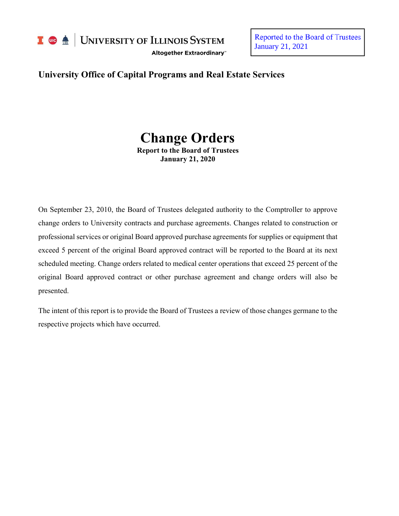

UNIVERSITY OF ILLINOIS SYSTEM

Altogether Extraordinary"

Reported to the Board of Trustees January 21, 2021

# **University Office of Capital Programs and Real Estate Services**

# **Change Orders**

**Report to the Board of Trustees January 21, 2020**

On September 23, 2010, the Board of Trustees delegated authority to the Comptroller to approve change orders to University contracts and purchase agreements. Changes related to construction or professional services or original Board approved purchase agreements for supplies or equipment that exceed 5 percent of the original Board approved contract will be reported to the Board at its next scheduled meeting. Change orders related to medical center operations that exceed 25 percent of the original Board approved contract or other purchase agreement and change orders will also be presented.

The intent of this report is to provide the Board of Trustees a review of those changes germane to the respective projects which have occurred.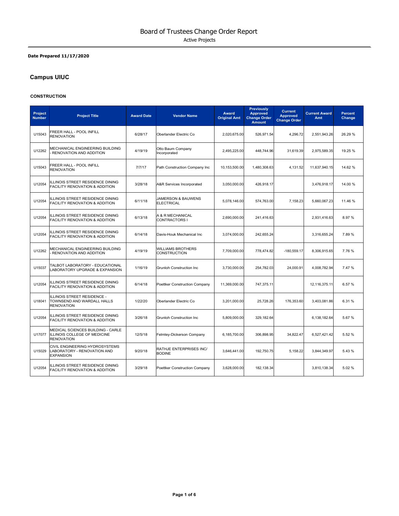#### **Date Prepared 11/17/2020**

## **Campus UIUC**

#### **CONSTRUCTION**

| Project<br><b>Number</b> | <b>Project Title</b>                                                                   | <b>Award Date</b> | <b>Vendor Name</b>                                 | <b>Award</b><br><b>Original Amt</b> | <b>Previously</b><br><b>Approved</b><br><b>Change Order</b><br><b>Amount</b> | <b>Current</b><br><b>Approved</b><br><b>Change Order</b> | <b>Current Award</b><br>Amt | Percent<br>Change |
|--------------------------|----------------------------------------------------------------------------------------|-------------------|----------------------------------------------------|-------------------------------------|------------------------------------------------------------------------------|----------------------------------------------------------|-----------------------------|-------------------|
| U15043                   | FREER HALL - POOL INFILL<br><b>RENOVATION</b>                                          | 6/28/17           | Oberlander Electric Co                             | 2,020,675.00                        | 526,971.54                                                                   | 4,296.72                                                 | 2,551,943.26                | 26.29 %           |
| U12262                   | MECHANICAL ENGINEERING BUILDING<br>RENOVATION AND ADDITION                             | 4/19/19           | Otto Baum Company<br>Incorporated                  | 2,495,225.00                        | 448,744.96                                                                   | 31,619.39                                                | 2,975,589.35                | 19.25 %           |
| U15043                   | FREER HALL - POOL INFILL<br><b>RENOVATION</b>                                          | 7/7/17            | Path Construction Company Inc                      | 10,153,500.00                       | 1,480,308.63                                                                 | 4.131.52                                                 | 11,637,940.15               | 14.62 %           |
| U12054                   | ILLINOIS STREET RESIDENCE DINING<br>FACILITY RENOVATION & ADDITION                     | 3/28/18           | A&R Services Incorporated                          | 3.050.000.00                        | 426,918.17                                                                   |                                                          | 3.476.918.17                | 14.00 %           |
| U12054                   | ILLINOIS STREET RESIDENCE DINING<br><b>FACILITY RENOVATION &amp; ADDITION</b>          | 6/11/18           | <b>JAMERSON &amp; BAUWENS</b><br><b>ELECTRICAL</b> | 5,078,146.00                        | 574,763.00                                                                   | 7,158.23                                                 | 5,660,067.23                | 11.46 %           |
| U12054                   | ILLINOIS STREET RESIDENCE DINING<br>FACILITY RENOVATION & ADDITION                     | 6/13/18           | A & R MECHANICAL<br>CONTRACTORS I                  | 2,690,000.00                        | 241,416.63                                                                   |                                                          | 2,931,416.63                | 8.97%             |
| U12054                   | ILLINOIS STREET RESIDENCE DINING<br>FACILITY RENOVATION & ADDITION                     | 6/14/18           | Davis-Houk Mechanical Inc                          | 3,074,000.00                        | 242,655.24                                                                   |                                                          | 3,316,655.24                | 7.89%             |
| U12262                   | MECHANICAL ENGINEERING BUILDING<br><b>RENOVATION AND ADDITION</b>                      | 4/19/19           | <b>WILLIAMS BROTHERS</b><br><b>CONSTRUCTION</b>    | 7,709,000.00                        | 778,474.82                                                                   | $-180,559.17$                                            | 8,306,915.65                | 7.76%             |
| U15037                   | TALBOT LABORATORY - EDUCATIONAL<br>LABORATORY UPGRADE & EXPANSION                      | 1/16/19           | <b>Grunloh Construction Inc</b>                    | 3,730,000.00                        | 254,782.03                                                                   | 24,000.91                                                | 4,008,782.94                | 7.47%             |
| U12054                   | ILLINOIS STREET RESIDENCE DINING<br>FACILITY RENOVATION & ADDITION                     | 6/14/18           | Poettker Construction Company                      | 11,369,000.00                       | 747,375.11                                                                   |                                                          | 12,116,375.11               | 6.57%             |
| U18041                   | ILLINOIS STREET RESIDENCE -<br>TOWNSEND AND WARDALL HALLS<br><b>RENOVATION</b>         | 1/22/20           | Oberlander Electric Co                             | 3,201,000.00                        | 25,728.26                                                                    | 176,353.60                                               | 3,403,081.86                | 6.31%             |
| U12054                   | ILLINOIS STREET RESIDENCE DINING<br>FACILITY RENOVATION & ADDITION                     | 3/26/18           | Grunloh Construction Inc                           | 5,809,000.00                        | 329,182.64                                                                   |                                                          | 6,138,182.64                | 5.67%             |
| U17077                   | MEDICAL SCIENCES BUILDING - CARLE<br>ILLINOIS COLLEGE OF MEDICINE<br><b>RENOVATION</b> | 12/5/18           | Felmley-Dickerson Company                          | 6,185,700.00                        | 306,898.95                                                                   | 34,822.47                                                | 6,527,421.42                | 5.52%             |
| U15029                   | CIVIL ENGINEERING HYDROSYSTEMS<br>LABORATORY - RENOVATION AND<br><b>EXPANSION</b>      | 9/20/18           | RATHJE ENTERPRISES INC/<br><b>BODINE</b>           | 3,646,441.00                        | 192,750.75                                                                   | 5,158.22                                                 | 3,844,349.97                | 5.43%             |
| U12054                   | ILLINOIS STREET RESIDENCE DINING<br>FACILITY RENOVATION & ADDITION                     | 3/29/18           | Poettker Construction Company                      | 3,628,000.00                        | 182, 138.34                                                                  |                                                          | 3,810,138.34                | 5.02%             |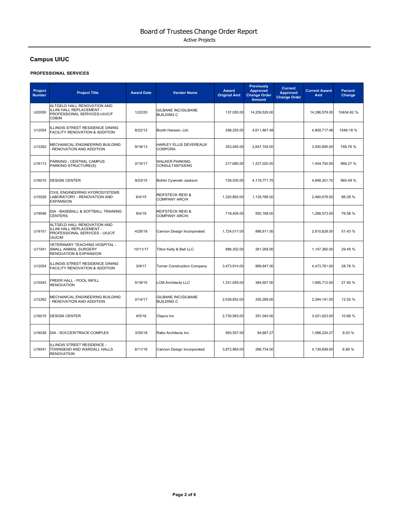## **Campus UIUC**

#### **PROFESSIONAL SERVICES**

| Project<br><b>Number</b> | <b>Project Title</b>                                                                                 | <b>Award Date</b> | <b>Vendor Name</b>                                  | <b>Award</b><br><b>Original Amt</b> | <b>Previously</b><br><b>Approved</b><br><b>Change Order</b><br><b>Amount</b> | <b>Current</b><br><b>Approved</b><br><b>Change Order</b> | <b>Current Award</b><br>Amt | <b>Percent</b><br>Change |
|--------------------------|------------------------------------------------------------------------------------------------------|-------------------|-----------------------------------------------------|-------------------------------------|------------------------------------------------------------------------------|----------------------------------------------------------|-----------------------------|--------------------------|
| U20050                   | ALTGELD HALL RENOVATION AND<br>ILLINI HALL REPLACEMENT -<br>PROFESSIONAL SERVICES-UIUC/F<br>CDB/M    | 1/22/20           | GILBANE INC/GILBANE<br><b>BUILDING C</b>            | 137.050.00                          | 14,259,529.00                                                                |                                                          | 14.396.579.00               | 10404.62 %               |
| U12054                   | ILLINOIS STREET RESIDENCE DINING<br>FACILITY RENOVATION & ADDITION                                   | 8/22/12           | Booth Hansen, Ltd.                                  | 298,250.00                          | 4,611,467.48                                                                 |                                                          | 4,909,717.48                | 1546.18%                 |
| U12262                   | MECHANICAL ENGINEERING BUILDING<br>RENOVATION AND ADDITION                                           | 9/18/13           | HARLEY ELLIS DEVEREAUX<br><b>CORPORA</b>            | 353,540.00                          | 2,647,155.00                                                                 |                                                          | 3,000,695.00                | 748.76%                  |
| U16113                   | PARKING - CENTRAL CAMPUS<br>PARKING STRUCTURE(S)                                                     | 2/15/17           | <b>WALKER PARKING</b><br><b>CONSULTANTS/ENG</b>     | 217,680.00                          | 1,237,020.00                                                                 |                                                          | 1,454,700.00                | 568.27 %                 |
| U16015                   | <b>DESIGN CENTER</b>                                                                                 | 9/23/15           | Bohlin Cywinski Jackson                             | 728,530.00                          | 4,119,771.70                                                                 |                                                          | 4,848,301.70                | 565.49 %                 |
| U15029                   | CIVIL ENGINEERING HYDROSYSTEMS<br>LABORATORY - RENOVATION AND<br><b>EXPANSION</b>                    | 6/4/15            | <b>REIFSTECK REID &amp;</b><br><b>COMPANY ARCHI</b> | 1,320,892.00                        | 1,139,786.00                                                                 |                                                          | 2.460.678.00                | 86.29 %                  |
| U19046                   | DIA - BASEBALL & SOFTBALL TRAINING<br><b>CENTERS</b>                                                 | 9/4/19            | <b>REIFSTECK REID &amp;</b><br><b>COMPANY ARCHI</b> | 718,405.00                          | 550,168.00                                                                   |                                                          | 1,268,573.00                | 76.58 %                  |
| U19101                   | ALTGELD HALL RENOVATION AND<br>ILLINI HALL REPLACEMENT -<br>PROFESSIONAL SERVICES - UIUC/F<br>UIUC/M | 4/26/19           | Cannon Design Incorporated                          | 1,724,017.00                        | 886,611.00                                                                   |                                                          | 2,610,628.00                | 51.43 %                  |
| U17041                   | VETERINARY TEACHING HOSPITAL -<br>SMALL ANIMAL SURGERY<br><b>RENOVATION &amp; EXPANSION</b>          | 10/11/17          | Tilton Kelly & Bell LLC                             | 886,302.00                          | 261,058.00                                                                   |                                                          | 1,147,360.00                | 29.45 %                  |
| U12054                   | ILLINOIS STREET RESIDENCE DINING<br>FACILITY RENOVATION & ADDITION                                   | 3/9/17            | <b>Turner Construction Company</b>                  | 3,473,914.00                        | 999,847.00                                                                   |                                                          | 4,473,761.00                | 28.78%                   |
| U15043                   | FREER HALL - POOL INFILL<br><b>RENOVATION</b>                                                        | 5/18/15           | <b>LCM Architects LLC</b>                           | 1,331,055.00                        | 364,657.00                                                                   |                                                          | 1,695,712.00                | 27.40 %                  |
| U12262                   | MECHANICAL ENGINEERING BUILDING<br>RENOVATION AND ADDITION                                           | 2/14/17           | GILBANE INC/GILBANE<br><b>BUILDING C</b>            | 2,038,852.00                        | 255,289.00                                                                   |                                                          | 2,294,141.00                | 12.52 %                  |
| U16015                   | <b>DESIGN CENTER</b>                                                                                 | 4/5/16            | Clayco Inc                                          | 2,730,583.00                        | 291,040.00                                                                   |                                                          | 3,021,623.00                | 10.66 %                  |
| U18038                   | DIA - SOCCER/TRACK COMPLEX                                                                           | 3/30/18           | Ratio Architects Inc                                | 993,557.00                          | 94,667.27                                                                    |                                                          | 1,088,224.27                | 9.53%                    |
| U18041                   | ILLINOIS STREET RESIDENCE -<br>TOWNSEND AND WARDALL HALLS<br><b>RENOVATION</b>                       | 6/11/18           | Cannon Design Incorporated                          | 3,872,965.00                        | 266.734.00                                                                   |                                                          | 4.139.699.00                | 6.89%                    |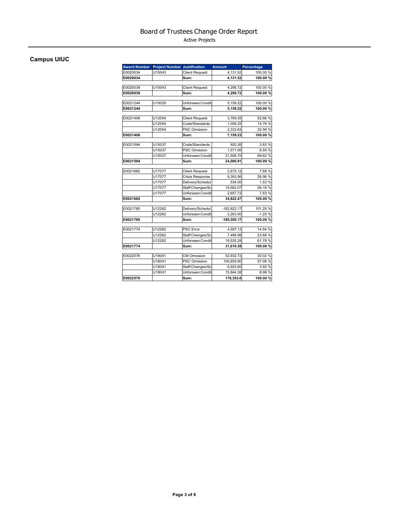Active Projects

## **Campus UIUC**

| <b>Award Number</b> | <b>Project Number Justification</b> |                       | <b>Amount</b> | Percentage |
|---------------------|-------------------------------------|-----------------------|---------------|------------|
| E0020034            | U15043                              | <b>Client Request</b> | 4,131.52      | 100.00%    |
| E0020034            |                                     | Sum:                  | 4,131.52      | 100.00%    |
| E0020039            | U15043                              |                       |               | 100.00%    |
|                     |                                     | <b>Client Request</b> | 4.296.72      |            |
| E0020039            |                                     | Sum:                  | 4.296.72      | 100.00%    |
| E0021244            | U15029                              | Unforseen Condit      | 5,158.22      | 100.00 %   |
| E0021244            |                                     | Sum:                  | 5,158.22      | 100.00%    |
| E0021406            | U12054                              |                       |               | 52.66 %    |
|                     |                                     | <b>Client Request</b> | 3,769.35      |            |
|                     | U12054                              | Code/Standards        | 1.056.25      | 14.76 %    |
|                     | U12054                              | <b>PSC Omission</b>   | 2,332.63      | 32.59 %    |
| E0021406            |                                     | Sum:                  | 7,158.23      | 100.00%    |
| E0021594            | U15037                              | Code/Standards        | 920.26        | 3.83%      |
|                     | U15037                              | PSC Omission          | 1,571.95      | 6.55%      |
|                     | U15037                              | Unforseen Condit      | 21,508.70     | 89.62%     |
| E0021594            |                                     | Sum:                  | 24,000.91     | 100.00%    |
|                     |                                     |                       |               |            |
| E0021682            | U17077                              | <b>Client Request</b> | 2.675.12      | 7.68%      |
|                     | U17077                              | Crisis Response       | 9,393.56      | 26.98 %    |
|                     | U17077                              | Delivery/Schedul      | 534.00        | 1.53%      |
|                     | U17077                              | Staff Changes/Sc      | 19,562.07     | 56.18%     |
|                     | U17077                              | Unforseen Condit      | 2,657.72      | 7.63%      |
| E0021682            |                                     | Sum:                  | 34,822.47     | 100.00%    |
| E0021760            | U12262                              | Delivery/Schedul      | $-182,822.17$ | 101.25 %   |
|                     | U12262                              | Unforseen Condit      | 2.263.00      | $-1.25%$   |
| E0021760            |                                     | Sum:                  | -180,559.17   | 100.00%    |
|                     |                                     |                       |               |            |
| E0021774            | U12262                              | PSC Error             | 4,597.13      | 14.54 %    |
|                     | U12262                              | Staff Changes/Sc      | 7.486.98      | 23.68 %    |
|                     | U12262                              | Unforseen Condit      | 19,535.28     | 61.78 %    |
| E0021774            |                                     | Sum:                  | 31,619.39     | 100.00%    |
| E0022576            | U18041                              | <b>CM Omission</b>    | 52,932.72     | 30.02 %    |
|                     | U18041                              | PSC Omission          | 100,655.90    | 57.08 %    |
|                     | U18041                              | Staff Changes/Sc      | 6,920.60      | 3.92%      |
|                     | U18041                              | Unforseen Condit      | 15,844.38     | 8.98%      |
| E0022576            |                                     | Sum:                  | 176,353.6     | 100.00%    |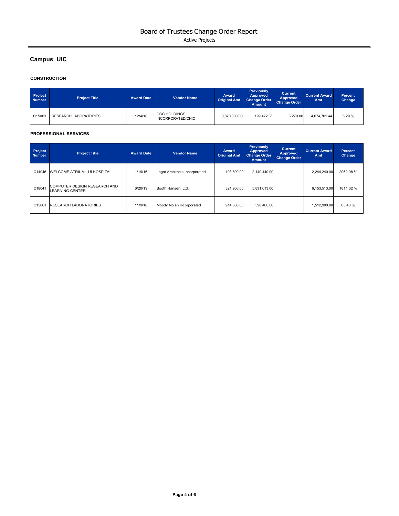## **Campus UIC**

#### **CONSTRUCTION**

| <b>Project</b><br><b>Number</b> | <b>Project Title</b>         | <b>Award Date</b> | <b>Vendor Name</b>                              | Award<br><b>Original Amt</b> | Previously<br><b>Approved</b><br><b>Change Order</b><br><b>Amount</b> | <b>Current</b><br><b>Approved</b><br><b>Change Order</b> | <b>Current Award</b><br>Amt | <b>Percent</b><br>Change |
|---------------------------------|------------------------------|-------------------|-------------------------------------------------|------------------------------|-----------------------------------------------------------------------|----------------------------------------------------------|-----------------------------|--------------------------|
| C15061                          | <b>RESEARCH LABORATORIES</b> | 12/4/18           | <b>CCC HOLDINGS</b><br><b>INCORPORATED/CHIC</b> | 3.870.000.00                 | 199.422.36                                                            | 5.279.08                                                 | 4.074.701.44                | 5.29 %                   |

#### **PROFESSIONAL SERVICES**

| Project<br><b>Number</b> | <b>Project Title</b>                                          | <b>Award Date</b> | <b>Vendor Name</b>            | Award<br><b>Original Amt</b> | <b>Previously</b><br>Approved<br><b>Change Order</b><br>Amount | <b>Current</b><br>Approved<br><b>Change Order</b> | <b>Current Award</b><br>Amt | Percent<br>Change |
|--------------------------|---------------------------------------------------------------|-------------------|-------------------------------|------------------------------|----------------------------------------------------------------|---------------------------------------------------|-----------------------------|-------------------|
| C14046                   | <b>WELCOME ATRIUM - UI HOSPITAL</b>                           | 1/19/16           | Legat Architects Incorporated | 103.800.00                   | 2.140.440.00                                                   |                                                   | 2.244.240.00                | 2062.08%          |
| C18041                   | <b>COMPUTER DESIGN RESEARCH AND</b><br><b>LEARNING CENTER</b> | 6/20/19           | Booth Hansen, Ltd.            | 321,900.00                   | 5,831,613.00                                                   |                                                   | 6,153,513.00                | 1811.62 %         |
| C15061                   | <b>RESEARCH LABORATORIES</b>                                  | 11/9/16           | Moody Nolan Incorporated      | 914.500.00                   | 598.400.00                                                     |                                                   | 1,512,900.00                | 65.43 %           |